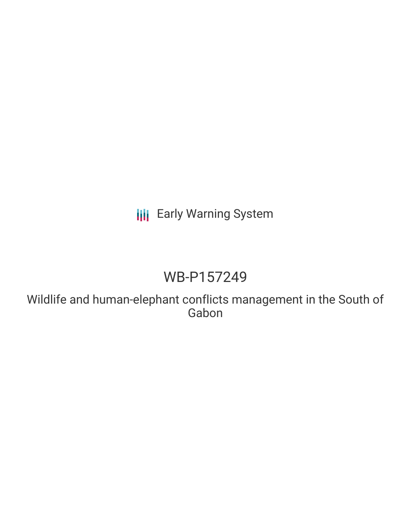# **III** Early Warning System

# WB-P157249

Wildlife and human-elephant conflicts management in the South of Gabon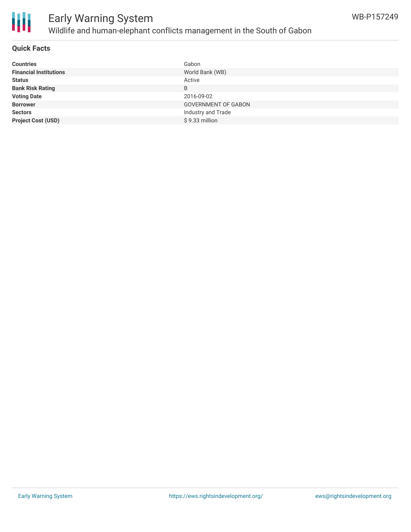



## Early Warning System Wildlife and human-elephant conflicts management in the South of Gabon

## **Quick Facts**

| <b>Countries</b>              | Gabon                      |
|-------------------------------|----------------------------|
| <b>Financial Institutions</b> | World Bank (WB)            |
| <b>Status</b>                 | Active                     |
| <b>Bank Risk Rating</b>       | B                          |
| <b>Voting Date</b>            | 2016-09-02                 |
| <b>Borrower</b>               | <b>GOVERNMENT OF GABON</b> |
| <b>Sectors</b>                | Industry and Trade         |
| <b>Project Cost (USD)</b>     | \$9.33 million             |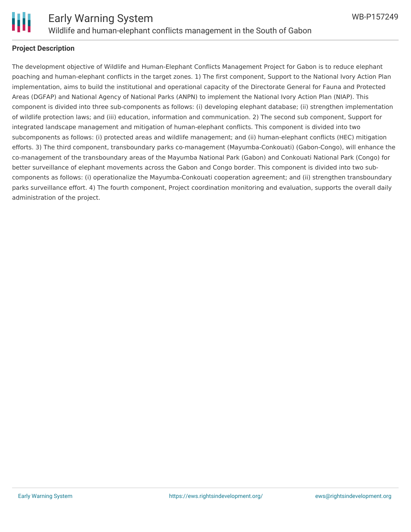

## **Project Description**

The development objective of Wildlife and Human-Elephant Conflicts Management Project for Gabon is to reduce elephant poaching and human-elephant conflicts in the target zones. 1) The first component, Support to the National Ivory Action Plan implementation, aims to build the institutional and operational capacity of the Directorate General for Fauna and Protected Areas (DGFAP) and National Agency of National Parks (ANPN) to implement the National Ivory Action Plan (NIAP). This component is divided into three sub-components as follows: (i) developing elephant database; (ii) strengthen implementation of wildlife protection laws; and (iii) education, information and communication. 2) The second sub component, Support for integrated landscape management and mitigation of human-elephant conflicts. This component is divided into two subcomponents as follows: (i) protected areas and wildlife management; and (ii) human-elephant conflicts (HEC) mitigation efforts. 3) The third component, transboundary parks co-management (Mayumba-Conkouati) (Gabon-Congo), will enhance the co-management of the transboundary areas of the Mayumba National Park (Gabon) and Conkouati National Park (Congo) for better surveillance of elephant movements across the Gabon and Congo border. This component is divided into two subcomponents as follows: (i) operationalize the Mayumba-Conkouati cooperation agreement; and (ii) strengthen transboundary parks surveillance effort. 4) The fourth component, Project coordination monitoring and evaluation, supports the overall daily administration of the project.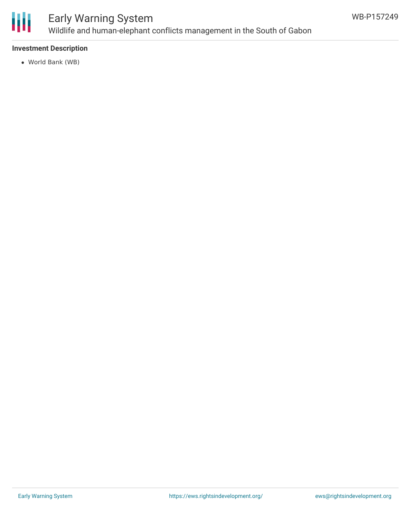

## Early Warning System Wildlife and human-elephant conflicts management in the South of Gabon

## **Investment Description**

World Bank (WB)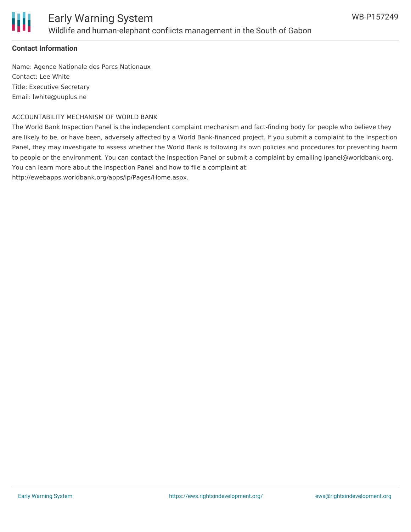

## **Contact Information**

Name: Agence Nationale des Parcs Nationaux Contact: Lee White Title: Executive Secretary Email: lwhite@uuplus.ne

#### ACCOUNTABILITY MECHANISM OF WORLD BANK

The World Bank Inspection Panel is the independent complaint mechanism and fact-finding body for people who believe they are likely to be, or have been, adversely affected by a World Bank-financed project. If you submit a complaint to the Inspection Panel, they may investigate to assess whether the World Bank is following its own policies and procedures for preventing harm to people or the environment. You can contact the Inspection Panel or submit a complaint by emailing ipanel@worldbank.org. You can learn more about the Inspection Panel and how to file a complaint at:

http://ewebapps.worldbank.org/apps/ip/Pages/Home.aspx.